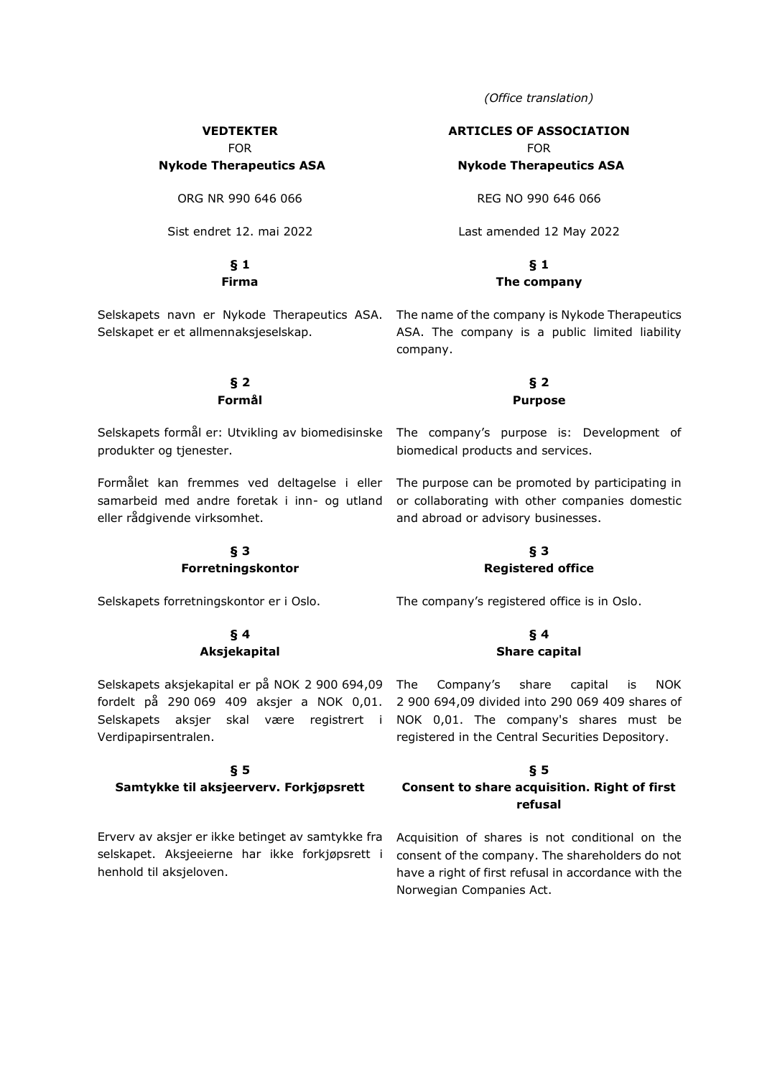*(Office translation)*

## **VEDTEKTER**

FOR

# **Nykode Therapeutics ASA**

ORG NR 990 646 066

Sist endret 12. mai 2022

# **§ 1**

**Firma**

Selskapet er et allmennaksjeselskap.

#### **§ 2 Formål**

Selskapets formål er: Utvikling av biomedisinske produkter og tjenester.

Formålet kan fremmes ved deltagelse i eller eller rådgivende virksomhet.

## **§ 3 Forretningskontor**

Selskapets forretningskontor er i Oslo.

#### **§ 4 Aksjekapital**

Selskapets aksjekapital er på NOK 2 900 694,09 fordelt på 290 069 409 aksjer a NOK 0,01. Selskapets aksjer skal være registrert i NOK 0,01. The company's shares must be Verdipapirsentralen.

# **§ 5**

## **Samtykke til aksjeerverv. Forkjøpsrett**

Erverv av aksjer er ikke betinget av samtykke fra selskapet. Aksjeeierne har ikke forkjøpsrett i henhold til aksjeloven.

## **ARTICLES OF ASSOCIATION**

FOR

## **Nykode Therapeutics ASA**

REG NO 990 646 066

Last amended 12 May 2022

## **§ 1 The company**

Selskapets navn er Nykode Therapeutics ASA. The name of the company is Nykode Therapeutics ASA. The company is a public limited liability company.

# **§ 2 Purpose**

The company's purpose is: Development of biomedical products and services.

samarbeid med andre foretak i inn- og utland or collaborating with other companies domestic The purpose can be promoted by participating in and abroad or advisory businesses.

## **§ 3 Registered office**

The company's registered office is in Oslo.

#### **§ 4 Share capital**

Company's share capital is NOK 2 900 694,09 divided into 290 069 409 shares of registered in the Central Securities Depository.

## **§ 5**

## **Consent to share acquisition. Right of first refusal**

Acquisition of shares is not conditional on the consent of the company. The shareholders do not have a right of first refusal in accordance with the Norwegian Companies Act.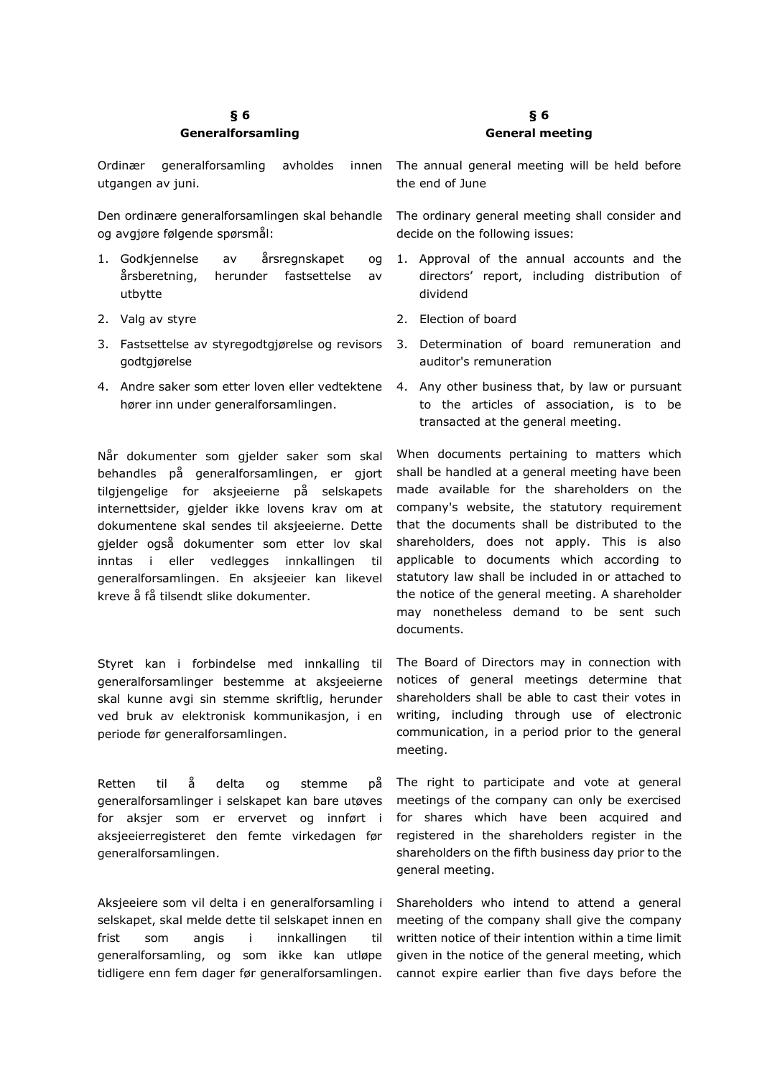# **§ 6 Generalforsamling**

Ordinær generalforsamling avholdes utgangen av juni.

Den ordinære generalforsamlingen skal behandle og avgjøre følgende spørsmål:

- 1. Godkjennelse av årsregnskapet og årsberetning, herunder fastsettelse av utbytte
- 2. Valg av styre
- 3. Fastsettelse av styregodtgjørelse og revisors godtgjørelse
- 4. Andre saker som etter loven eller vedtektene hører inn under generalforsamlingen.

Når dokumenter som gjelder saker som skal behandles på generalforsamlingen, er gjort tilgjengelige for aksjeeierne på selskapets internettsider, gjelder ikke lovens krav om at dokumentene skal sendes til aksjeeierne. Dette gjelder også dokumenter som etter lov skal inntas i eller vedlegges innkallingen til generalforsamlingen. En aksjeeier kan likevel kreve å få tilsendt slike dokumenter.

Styret kan i forbindelse med innkalling til generalforsamlinger bestemme at aksjeeierne skal kunne avgi sin stemme skriftlig, herunder ved bruk av elektronisk kommunikasjon, i en periode før generalforsamlingen.

Retten til å delta og stemme på generalforsamlinger i selskapet kan bare utøves for aksjer som er ervervet og innført i aksjeeierregisteret den femte virkedagen før generalforsamlingen.

Aksjeeiere som vil delta i en generalforsamling i selskapet, skal melde dette til selskapet innen en frist som angis i innkallingen til generalforsamling, og som ikke kan utløpe tidligere enn fem dager før generalforsamlingen.

## **§ 6 General meeting**

innen The annual general meeting will be held before the end of June

> The ordinary general meeting shall consider and decide on the following issues:

- 1. Approval of the annual accounts and the directors' report, including distribution of dividend
- 2. Election of board
- 3. Determination of board remuneration and auditor's remuneration
- 4. Any other business that, by law or pursuant to the articles of association, is to be transacted at the general meeting.

When documents pertaining to matters which shall be handled at a general meeting have been made available for the shareholders on the company's website, the statutory requirement that the documents shall be distributed to the shareholders, does not apply. This is also applicable to documents which according to statutory law shall be included in or attached to the notice of the general meeting. A shareholder may nonetheless demand to be sent such documents.

The Board of Directors may in connection with notices of general meetings determine that shareholders shall be able to cast their votes in writing, including through use of electronic communication, in a period prior to the general meeting.

The right to participate and vote at general meetings of the company can only be exercised for shares which have been acquired and registered in the shareholders register in the shareholders on the fifth business day prior to the general meeting.

Shareholders who intend to attend a general meeting of the company shall give the company written notice of their intention within a time limit given in the notice of the general meeting, which cannot expire earlier than five days before the